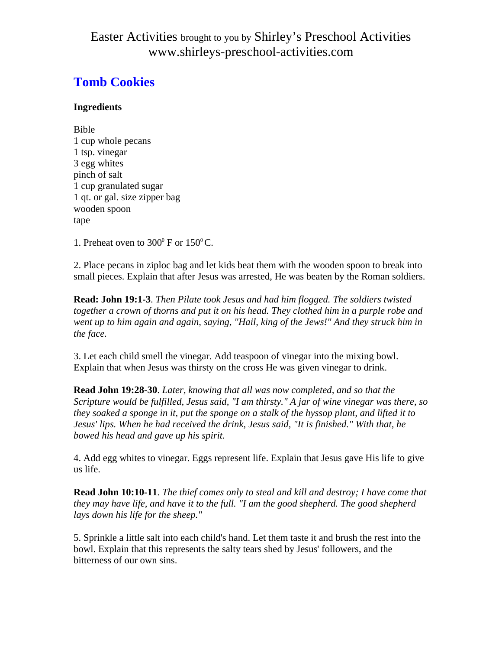## Easter Activities brought to you by Shirley's Preschool Activities www.shirleys-preschool-activities.com

# **Tomb Cookies**

#### **Ingredients**

Bible 1 cup whole pecans 1 tsp. vinegar 3 egg whites pinch of salt 1 cup granulated sugar 1 qt. or gal. size zipper bag wooden spoon tape

1. Preheat oven to  $300^{\circ}$  F or  $150^{\circ}$ C.

2. Place pecans in ziploc bag and let kids beat them with the wooden spoon to break into small pieces. Explain that after Jesus was arrested, He was beaten by the Roman soldiers.

**Read: John 19:1-3**. *Then Pilate took Jesus and had him flogged. The soldiers twisted together a crown of thorns and put it on his head. They clothed him in a purple robe and*  went up to him again and again, saying, "Hail, king of the Jews!" And they struck him in *the face.*

3. Let each child smell the vinegar. Add teaspoon of vinegar into the mixing bowl. Explain that when Jesus was thirsty on the cross He was given vinegar to drink.

**Read John 19:28-30**. *Later, knowing that all was now completed, and so that the Scripture would be fulfilled, Jesus said, "I am thirsty." A jar of wine vinegar was there, so they soaked a sponge in it, put the sponge on a stalk of the hyssop plant, and lifted it to Jesus' lips. When he had received the drink, Jesus said, "It is finished." With that, he bowed his head and gave up his spirit.*

4. Add egg whites to vinegar. Eggs represent life. Explain that Jesus gave His life to give us life.

**Read John 10:10-11**. *The thief comes only to steal and kill and destroy; I have come that they may have life, and have it to the full. "I am the good shepherd. The good shepherd lays down his life for the sheep."*

5. Sprinkle a little salt into each child's hand. Let them taste it and brush the rest into the bowl. Explain that this represents the salty tears shed by Jesus' followers, and the bitterness of our own sins.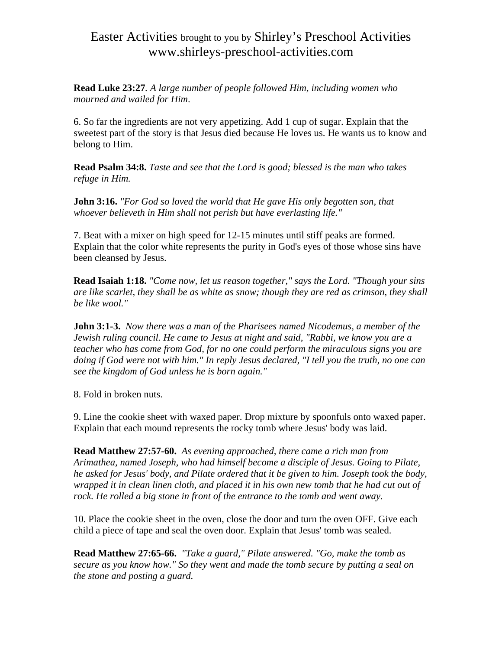## Easter Activities brought to you by Shirley's Preschool Activities www.shirleys-preschool-activities.com

**Read Luke 23:27***. A large number of people followed Him, including women who mourned and wailed for Him*.

6. So far the ingredients are not very appetizing. Add 1 cup of sugar. Explain that the sweetest part of the story is that Jesus died because He loves us. He wants us to know and belong to Him.

**Read Psalm 34:8.** *Taste and see that the Lord is good; blessed is the man who takes refuge in Him.*

**John 3:16.** *"For God so loved the world that He gave His only begotten son, that whoever believeth in Him shall not perish but have everlasting life."*

7. Beat with a mixer on high speed for 12-15 minutes until stiff peaks are formed. Explain that the color white represents the purity in God's eyes of those whose sins have been cleansed by Jesus.

**Read Isaiah 1:18.** *"Come now, let us reason together," says the Lord. "Though your sins are like scarlet, they shall be as white as snow; though they are red as crimson, they shall be like wool."* 

**John 3:1-3.** *Now there was a man of the Pharisees named Nicodemus, a member of the Jewish ruling council. He came to Jesus at night and said, "Rabbi, we know you are a teacher who has come from God, for no one could perform the miraculous signs you are doing if God were not with him." In reply Jesus declared, "I tell you the truth, no one can see the kingdom of God unless he is born again."*

8. Fold in broken nuts.

9. Line the cookie sheet with waxed paper. Drop mixture by spoonfuls onto waxed paper. Explain that each mound represents the rocky tomb where Jesus' body was laid.

**Read Matthew 27:57-60.** *As evening approached, there came a rich man from Arimathea, named Joseph, who had himself become a disciple of Jesus. Going to Pilate, he asked for Jesus' body, and Pilate ordered that it be given to him. Joseph took the body, wrapped it in clean linen cloth, and placed it in his own new tomb that he had cut out of rock. He rolled a big stone in front of the entrance to the tomb and went away.*

10. Place the cookie sheet in the oven, close the door and turn the oven OFF. Give each child a piece of tape and seal the oven door. Explain that Jesus' tomb was sealed.

**Read Matthew 27:65-66.** *"Take a guard," Pilate answered. "Go, make the tomb as secure as you know how." So they went and made the tomb secure by putting a seal on the stone and posting a guard.*